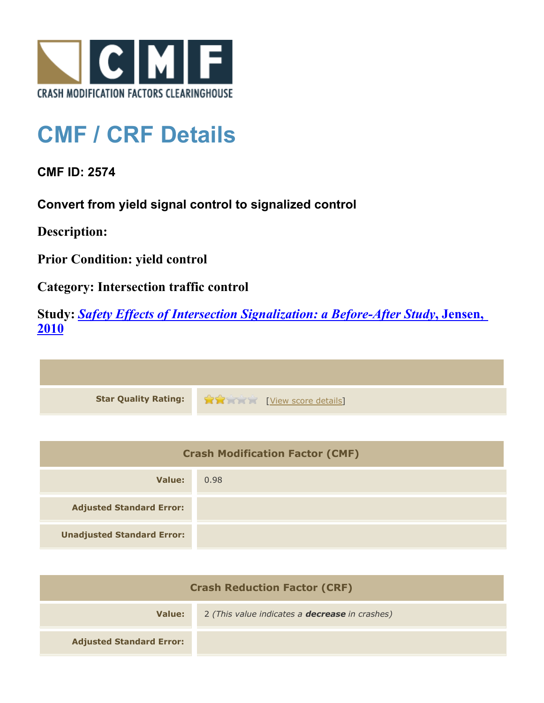

## **CMF / CRF Details**

**CMF ID: 2574**

**Convert from yield signal control to signalized control**

**Description:** 

**Prior Condition: yield control**

**Category: Intersection traffic control**

**Study:** *[Safety Effects of Intersection Signalization: a Before-After Study](http://www.cmfclearinghouse.org/study_detail.cfm?stid=170)***[, Jensen,](http://www.cmfclearinghouse.org/study_detail.cfm?stid=170) [2010](http://www.cmfclearinghouse.org/study_detail.cfm?stid=170)**



| <b>Crash Modification Factor (CMF)</b> |      |
|----------------------------------------|------|
| Value:                                 | 0.98 |
| <b>Adjusted Standard Error:</b>        |      |
| <b>Unadjusted Standard Error:</b>      |      |

| <b>Crash Reduction Factor (CRF)</b> |                                                       |
|-------------------------------------|-------------------------------------------------------|
| Value:                              | 2 (This value indicates a <b>decrease</b> in crashes) |
| <b>Adjusted Standard Error:</b>     |                                                       |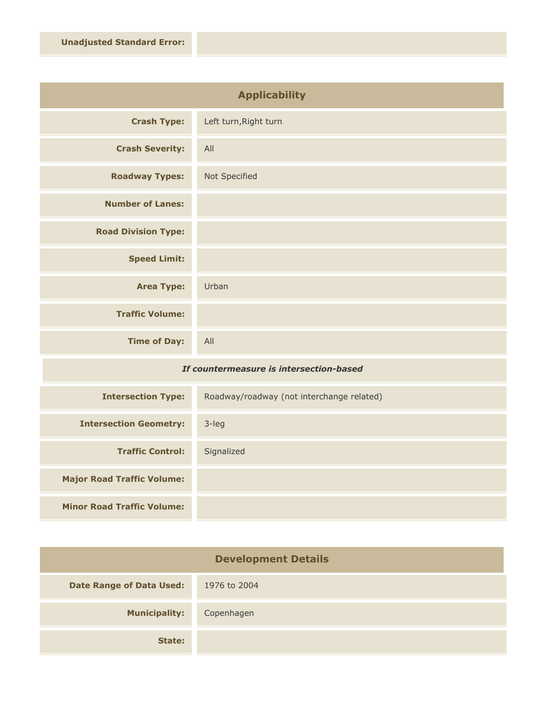| <b>Applicability</b>       |                       |
|----------------------------|-----------------------|
| <b>Crash Type:</b>         | Left turn, Right turn |
| <b>Crash Severity:</b>     | All                   |
| <b>Roadway Types:</b>      | Not Specified         |
| <b>Number of Lanes:</b>    |                       |
| <b>Road Division Type:</b> |                       |
| <b>Speed Limit:</b>        |                       |
| <b>Area Type:</b>          | Urban                 |
| <b>Traffic Volume:</b>     |                       |
| <b>Time of Day:</b>        | All                   |

## *If countermeasure is intersection-based*

| <b>Intersection Type:</b>         | Roadway/roadway (not interchange related) |
|-----------------------------------|-------------------------------------------|
| <b>Intersection Geometry:</b>     | $3$ -leg                                  |
| <b>Traffic Control:</b>           | Signalized                                |
| <b>Major Road Traffic Volume:</b> |                                           |
| <b>Minor Road Traffic Volume:</b> |                                           |

| <b>Development Details</b>      |              |
|---------------------------------|--------------|
| <b>Date Range of Data Used:</b> | 1976 to 2004 |
| <b>Municipality:</b>            | Copenhagen   |
| State:                          |              |